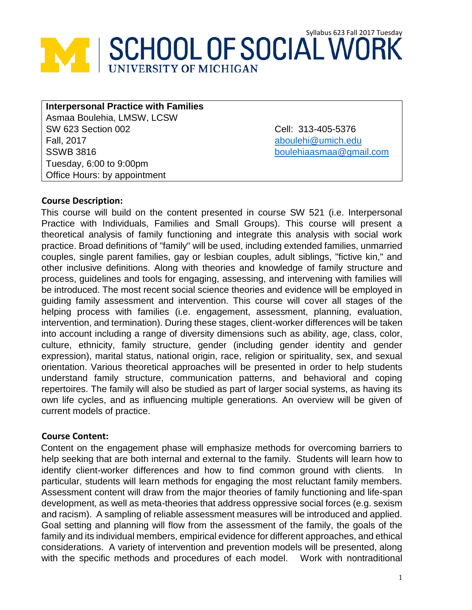# **SCHOOL OF SOCIAL WORK**

**Interpersonal Practice with Families** Asmaa Boulehia, LMSW, LCSW SW 623 Section 002 Fall, 2017 SSWB 3816 Tuesday, 6:00 to 9:00pm Office Hours: by appointment

Cell: 313-405-5376 [aboulehi@umich.edu](mailto:aboulehi@umich.edu) [boulehiaasmaa@gmail.com](mailto:boulehiaasmaa@gmail.com)

#### **Course Description:**

This course will build on the content presented in course SW 521 (i.e. Interpersonal Practice with Individuals, Families and Small Groups). This course will present a theoretical analysis of family functioning and integrate this analysis with social work practice. Broad definitions of "family" will be used, including extended families, unmarried couples, single parent families, gay or lesbian couples, adult siblings, "fictive kin," and other inclusive definitions. Along with theories and knowledge of family structure and process, guidelines and tools for engaging, assessing, and intervening with families will be introduced. The most recent social science theories and evidence will be employed in guiding family assessment and intervention. This course will cover all stages of the helping process with families (i.e. engagement, assessment, planning, evaluation, intervention, and termination). During these stages, client-worker differences will be taken into account including a range of diversity dimensions such as ability, age, class, color, culture, ethnicity, family structure, gender (including gender identity and gender expression), marital status, national origin, race, religion or spirituality, sex, and sexual orientation. Various theoretical approaches will be presented in order to help students understand family structure, communication patterns, and behavioral and coping repertoires. The family will also be studied as part of larger social systems, as having its own life cycles, and as influencing multiple generations. An overview will be given of current models of practice.

#### **Course Content:**

Content on the engagement phase will emphasize methods for overcoming barriers to help seeking that are both internal and external to the family. Students will learn how to identify client-worker differences and how to find common ground with clients. In particular, students will learn methods for engaging the most reluctant family members. Assessment content will draw from the major theories of family functioning and life-span development, as well as meta-theories that address oppressive social forces (e.g. sexism and racism). A sampling of reliable assessment measures will be introduced and applied. Goal setting and planning will flow from the assessment of the family, the goals of the family and its individual members, empirical evidence for different approaches, and ethical considerations. A variety of intervention and prevention models will be presented, along with the specific methods and procedures of each model. Work with nontraditional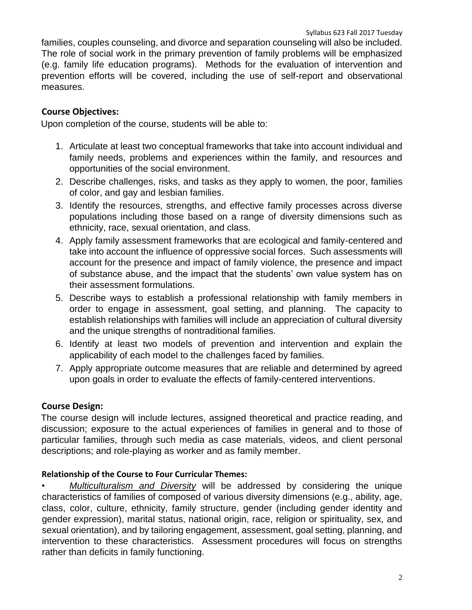families, couples counseling, and divorce and separation counseling will also be included. The role of social work in the primary prevention of family problems will be emphasized (e.g. family life education programs). Methods for the evaluation of intervention and prevention efforts will be covered, including the use of self-report and observational measures.

# **Course Objectives:**

Upon completion of the course, students will be able to:

- 1. Articulate at least two conceptual frameworks that take into account individual and family needs, problems and experiences within the family, and resources and opportunities of the social environment.
- 2. Describe challenges, risks, and tasks as they apply to women, the poor, families of color, and gay and lesbian families.
- 3. Identify the resources, strengths, and effective family processes across diverse populations including those based on a range of diversity dimensions such as ethnicity, race, sexual orientation, and class.
- 4. Apply family assessment frameworks that are ecological and family-centered and take into account the influence of oppressive social forces. Such assessments will account for the presence and impact of family violence, the presence and impact of substance abuse, and the impact that the students' own value system has on their assessment formulations.
- 5. Describe ways to establish a professional relationship with family members in order to engage in assessment, goal setting, and planning. The capacity to establish relationships with families will include an appreciation of cultural diversity and the unique strengths of nontraditional families.
- 6. Identify at least two models of prevention and intervention and explain the applicability of each model to the challenges faced by families.
- 7. Apply appropriate outcome measures that are reliable and determined by agreed upon goals in order to evaluate the effects of family-centered interventions.

## **Course Design:**

The course design will include lectures, assigned theoretical and practice reading, and discussion; exposure to the actual experiences of families in general and to those of particular families, through such media as case materials, videos, and client personal descriptions; and role-playing as worker and as family member.

## **Relationship of the Course to Four Curricular Themes:**

• *Multiculturalism and Diversity* will be addressed by considering the unique characteristics of families of composed of various diversity dimensions (e.g., ability, age, class, color, culture, ethnicity, family structure, gender (including gender identity and gender expression), marital status, national origin, race, religion or spirituality, sex, and sexual orientation), and by tailoring engagement, assessment, goal setting, planning, and intervention to these characteristics. Assessment procedures will focus on strengths rather than deficits in family functioning.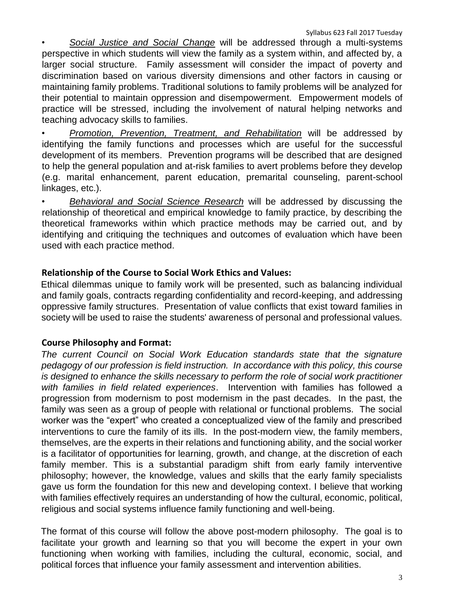• *Social Justice and Social Change* will be addressed through a multi-systems perspective in which students will view the family as a system within, and affected by, a larger social structure. Family assessment will consider the impact of poverty and discrimination based on various diversity dimensions and other factors in causing or maintaining family problems. Traditional solutions to family problems will be analyzed for their potential to maintain oppression and disempowerment. Empowerment models of practice will be stressed, including the involvement of natural helping networks and teaching advocacy skills to families.

• *Promotion, Prevention, Treatment, and Rehabilitation* will be addressed by identifying the family functions and processes which are useful for the successful development of its members. Prevention programs will be described that are designed to help the general population and at-risk families to avert problems before they develop (e.g. marital enhancement, parent education, premarital counseling, parent-school linkages, etc.).

• *Behavioral and Social Science Research* will be addressed by discussing the relationship of theoretical and empirical knowledge to family practice, by describing the theoretical frameworks within which practice methods may be carried out, and by identifying and critiquing the techniques and outcomes of evaluation which have been used with each practice method.

# **Relationship of the Course to Social Work Ethics and Values:**

Ethical dilemmas unique to family work will be presented, such as balancing individual and family goals, contracts regarding confidentiality and record-keeping, and addressing oppressive family structures. Presentation of value conflicts that exist toward families in society will be used to raise the students' awareness of personal and professional values.

# **Course Philosophy and Format:**

*The current Council on Social Work Education standards state that the signature pedagogy of our profession is field instruction. In accordance with this policy, this course is designed to enhance the skills necessary to perform the role of social work practitioner with families in field related experiences*. Intervention with families has followed a progression from modernism to post modernism in the past decades. In the past, the family was seen as a group of people with relational or functional problems. The social worker was the "expert" who created a conceptualized view of the family and prescribed interventions to cure the family of its ills. In the post-modern view, the family members, themselves, are the experts in their relations and functioning ability, and the social worker is a facilitator of opportunities for learning, growth, and change, at the discretion of each family member. This is a substantial paradigm shift from early family interventive philosophy; however, the knowledge, values and skills that the early family specialists gave us form the foundation for this new and developing context. I believe that working with families effectively requires an understanding of how the cultural, economic, political, religious and social systems influence family functioning and well-being.

The format of this course will follow the above post-modern philosophy. The goal is to facilitate your growth and learning so that you will become the expert in your own functioning when working with families, including the cultural, economic, social, and political forces that influence your family assessment and intervention abilities.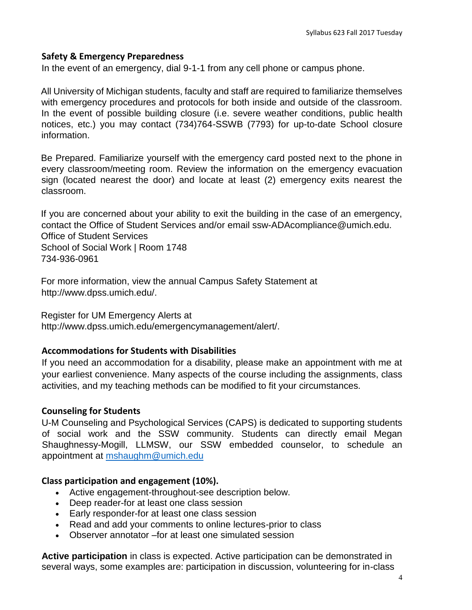#### **Safety & Emergency Preparedness**

In the event of an emergency, dial 9-1-1 from any cell phone or campus phone.

All University of Michigan students, faculty and staff are required to familiarize themselves with emergency procedures and protocols for both inside and outside of the classroom. In the event of possible building closure (i.e. severe weather conditions, public health notices, etc.) you may contact (734)764-SSWB (7793) for up-to-date School closure information.

Be Prepared. Familiarize yourself with the emergency card posted next to the phone in every classroom/meeting room. Review the information on the emergency evacuation sign (located nearest the door) and locate at least (2) emergency exits nearest the classroom.

If you are concerned about your ability to exit the building in the case of an emergency, contact the Office of Student Services and/or email ssw-ADAcompliance@umich.edu. Office of Student Services School of Social Work | Room 1748 734-936-0961

For more information, view the annual Campus Safety Statement at http://www.dpss.umich.edu/.

Register for UM Emergency Alerts at http://www.dpss.umich.edu/emergencymanagement/alert/.

#### **Accommodations for Students with Disabilities**

If you need an accommodation for a disability, please make an appointment with me at your earliest convenience. Many aspects of the course including the assignments, class activities, and my teaching methods can be modified to fit your circumstances.

#### **Counseling for Students**

U-M Counseling and Psychological Services (CAPS) is dedicated to supporting students of social work and the SSW community. Students can directly email Megan Shaughnessy-Mogill, LLMSW, our SSW embedded counselor, to schedule an appointment at [mshaughm@umich.edu](mailto:mshaughm@umich.edu)

#### **Class participation and engagement (10%).**

- Active engagement-throughout-see description below.
- Deep reader-for at least one class session
- Early responder-for at least one class session
- Read and add your comments to online lectures-prior to class
- Observer annotator –for at least one simulated session

**Active participation** in class is expected. Active participation can be demonstrated in several ways, some examples are: participation in discussion, volunteering for in-class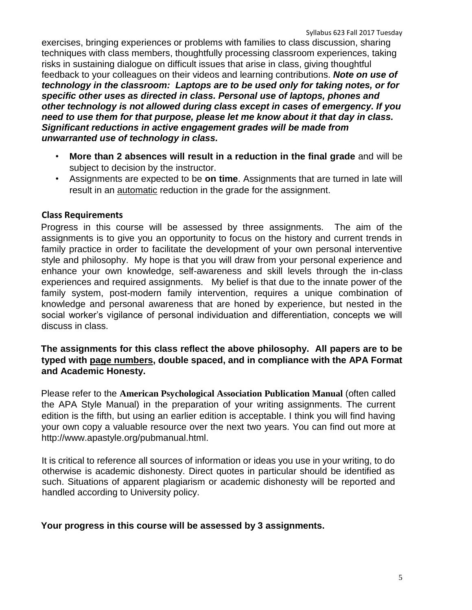exercises, bringing experiences or problems with families to class discussion, sharing techniques with class members, thoughtfully processing classroom experiences, taking risks in sustaining dialogue on difficult issues that arise in class, giving thoughtful feedback to your colleagues on their videos and learning contributions. *Note on use of technology in the classroom: Laptops are to be used only for taking notes, or for specific other uses as directed in class. Personal use of laptops, phones and other technology is not allowed during class except in cases of emergency. If you need to use them for that purpose, please let me know about it that day in class. Significant reductions in active engagement grades will be made from unwarranted use of technology in class.* 

- **More than 2 absences will result in a reduction in the final grade** and will be subject to decision by the instructor.
- Assignments are expected to be **on time**. Assignments that are turned in late will result in an automatic reduction in the grade for the assignment.

#### **Class Requirements**

Progress in this course will be assessed by three assignments. The aim of the assignments is to give you an opportunity to focus on the history and current trends in family practice in order to facilitate the development of your own personal interventive style and philosophy. My hope is that you will draw from your personal experience and enhance your own knowledge, self-awareness and skill levels through the in-class experiences and required assignments. My belief is that due to the innate power of the family system, post-modern family intervention, requires a unique combination of knowledge and personal awareness that are honed by experience, but nested in the social worker's vigilance of personal individuation and differentiation, concepts we will discuss in class.

#### **The assignments for this class reflect the above philosophy. All papers are to be typed with page numbers, double spaced, and in compliance with the APA Format and Academic Honesty.**

Please refer to the **American Psychological Association Publication Manual** (often called the APA Style Manual) in the preparation of your writing assignments. The current edition is the fifth, but using an earlier edition is acceptable. I think you will find having your own copy a valuable resource over the next two years. You can find out more at http://www.apastyle.org/pubmanual.html.

It is critical to reference all sources of information or ideas you use in your writing, to do otherwise is academic dishonesty. Direct quotes in particular should be identified as such. Situations of apparent plagiarism or academic dishonesty will be reported and handled according to University policy.

#### **Your progress in this course will be assessed by 3 assignments.**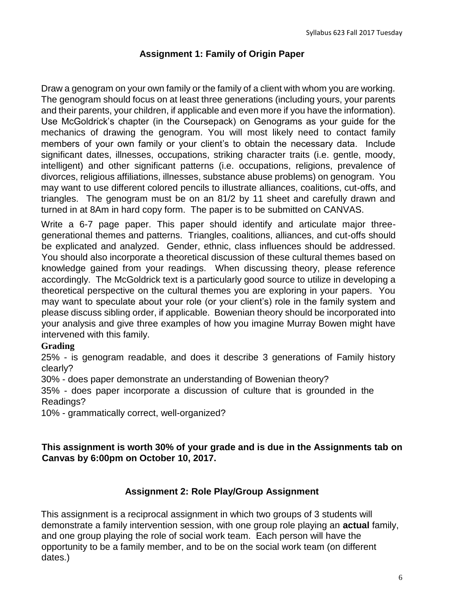## **Assignment 1: Family of Origin Paper**

Draw a genogram on your own family or the family of a client with whom you are working. The genogram should focus on at least three generations (including yours, your parents and their parents, your children, if applicable and even more if you have the information). Use McGoldrick's chapter (in the Coursepack) on Genograms as your guide for the mechanics of drawing the genogram. You will most likely need to contact family members of your own family or your client's to obtain the necessary data. Include significant dates, illnesses, occupations, striking character traits (i.e. gentle, moody, intelligent) and other significant patterns (i.e. occupations, religions, prevalence of divorces, religious affiliations, illnesses, substance abuse problems) on genogram. You may want to use different colored pencils to illustrate alliances, coalitions, cut-offs, and triangles. The genogram must be on an 81/2 by 11 sheet and carefully drawn and turned in at 8Am in hard copy form. The paper is to be submitted on CANVAS.

Write a 6-7 page paper. This paper should identify and articulate major threegenerational themes and patterns. Triangles, coalitions, alliances, and cut-offs should be explicated and analyzed. Gender, ethnic, class influences should be addressed. You should also incorporate a theoretical discussion of these cultural themes based on knowledge gained from your readings. When discussing theory, please reference accordingly. The McGoldrick text is a particularly good source to utilize in developing a theoretical perspective on the cultural themes you are exploring in your papers. You may want to speculate about your role (or your client's) role in the family system and please discuss sibling order, if applicable. Bowenian theory should be incorporated into your analysis and give three examples of how you imagine Murray Bowen might have intervened with this family.

#### **Grading**

25% - is genogram readable, and does it describe 3 generations of Family history clearly?

30% - does paper demonstrate an understanding of Bowenian theory?

35% - does paper incorporate a discussion of culture that is grounded in the Readings?

10% - grammatically correct, well-organized?

#### **This assignment is worth 30% of your grade and is due in the Assignments tab on Canvas by 6:00pm on October 10, 2017.**

## **Assignment 2: Role Play/Group Assignment**

This assignment is a reciprocal assignment in which two groups of 3 students will demonstrate a family intervention session, with one group role playing an **actual** family, and one group playing the role of social work team. Each person will have the opportunity to be a family member, and to be on the social work team (on different dates.)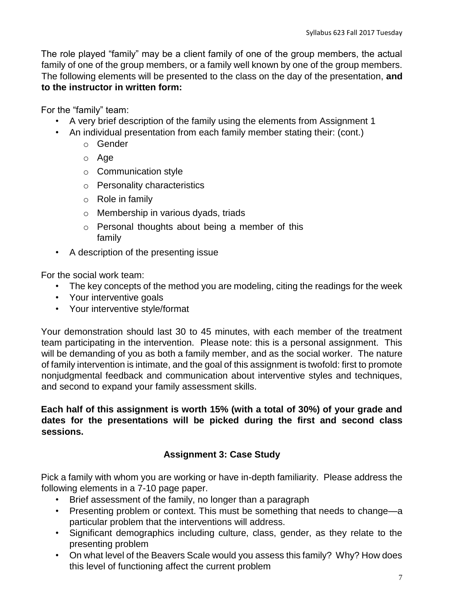The role played "family" may be a client family of one of the group members, the actual family of one of the group members, or a family well known by one of the group members. The following elements will be presented to the class on the day of the presentation, **and to the instructor in written form:** 

For the "family" team:

- A very brief description of the family using the elements from Assignment 1
- An individual presentation from each family member stating their: (cont.)
	- o Gender
	- o Age
	- o Communication style
	- o Personality characteristics
	- o Role in family
	- o Membership in various dyads, triads
	- o Personal thoughts about being a member of this family
- A description of the presenting issue

For the social work team:

- The key concepts of the method you are modeling, citing the readings for the week
- Your interventive goals
- Your interventive style/format

Your demonstration should last 30 to 45 minutes, with each member of the treatment team participating in the intervention. Please note: this is a personal assignment. This will be demanding of you as both a family member, and as the social worker. The nature of family intervention is intimate, and the goal of this assignment is twofold: first to promote nonjudgmental feedback and communication about interventive styles and techniques, and second to expand your family assessment skills.

**Each half of this assignment is worth 15% (with a total of 30%) of your grade and dates for the presentations will be picked during the first and second class sessions.** 

# **Assignment 3: Case Study**

Pick a family with whom you are working or have in-depth familiarity. Please address the following elements in a 7-10 page paper.

- Brief assessment of the family, no longer than a paragraph
- Presenting problem or context. This must be something that needs to change—a particular problem that the interventions will address.
- Significant demographics including culture, class, gender, as they relate to the presenting problem
- On what level of the Beavers Scale would you assess this family? Why? How does this level of functioning affect the current problem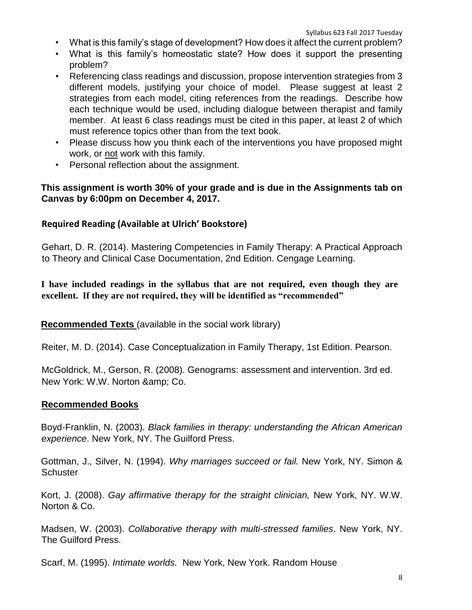- What is this family's stage of development? How does it affect the current problem?
- What is this family's homeostatic state? How does it support the presenting problem?
- Referencing class readings and discussion, propose intervention strategies from 3 different models, justifying your choice of model. Please suggest at least 2 strategies from each model, citing references from the readings. Describe how each technique would be used, including dialogue between therapist and family member. At least 6 class readings must be cited in this paper, at least 2 of which must reference topics other than from the text book.
- Please discuss how you think each of the interventions you have proposed might work, or not work with this family.
- Personal reflection about the assignment.

## **This assignment is worth 30% of your grade and is due in the Assignments tab on Canvas by 6:00pm on December 4, 2017.**

## **Required Reading (Available at Ulrich' Bookstore)**

Gehart, D. R. (2014). Mastering Competencies in Family Therapy: A Practical Approach to Theory and Clinical Case Documentation, 2nd Edition. Cengage Learning.

**I have included readings in the syllabus that are not required, even though they are excellent. If they are not required, they will be identified as "recommended"**

**Recommended Texts** (available in the social work library)

Reiter, M. D. (2014). Case Conceptualization in Family Therapy, 1st Edition. Pearson.

McGoldrick, M., Gerson, R. (2008). Genograms: assessment and intervention. 3rd ed. New York: W.W. Norton & amp; Co.

## **Recommended Books**

Boyd-Franklin, N. (2003). *Black families in therapy: understanding the African American experience*. New York, NY. The Guilford Press.

Gottman, J., Silver, N. (1994). *Why marriages succeed or fail.* New York, NY. Simon & **Schuster** 

Kort, J. (2008). *Gay affirmative therapy for the straight clinician,* New York, NY. W.W. Norton & Co.

Madsen, W. (2003). *Collaborative therapy with multi-stressed families*. New York, NY. The Guilford Press.

Scarf, M. (1995). *Intimate worlds.* New York, New York. Random House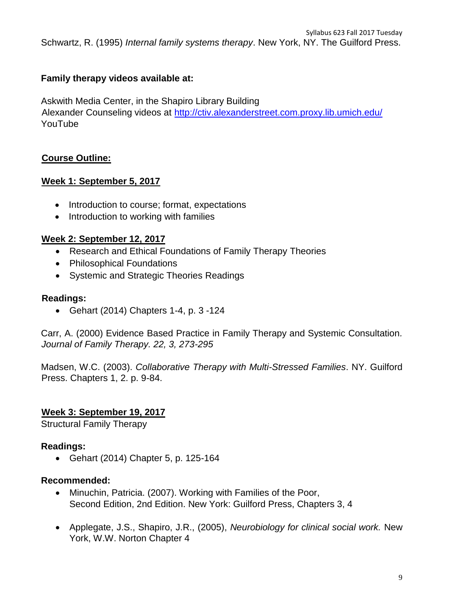Syllabus 623 Fall 2017 Tuesday Schwartz, R. (1995) *Internal family systems therapy*. New York, NY. The Guilford Press.

#### **Family therapy videos available at:**

Askwith Media Center, in the Shapiro Library Building

Alexander Counseling videos at<http://ctiv.alexanderstreet.com.proxy.lib.umich.edu/> YouTube

## **Course Outline:**

#### **Week 1: September 5, 2017**

- Introduction to course; format, expectations
- Introduction to working with families

#### **Week 2: September 12, 2017**

- Research and Ethical Foundations of Family Therapy Theories
- Philosophical Foundations
- Systemic and Strategic Theories Readings

#### **Readings:**

• Gehart (2014) Chapters 1-4, p. 3 -124

Carr, A. (2000) Evidence Based Practice in Family Therapy and Systemic Consultation*. Journal of Family Therapy. 22, 3, 273-295* 

Madsen, W.C. (2003). *Collaborative Therapy with Multi-Stressed Families*. NY. Guilford Press. Chapters 1, 2. p. 9-84.

#### **Week 3: September 19, 2017**

Structural Family Therapy

#### **Readings:**

• Gehart (2014) Chapter 5, p. 125-164

#### **Recommended:**

- Minuchin, Patricia. (2007). Working with Families of the Poor, Second Edition, 2nd Edition. New York: Guilford Press, Chapters 3, 4
- Applegate, J.S., Shapiro, J.R., (2005), *Neurobiology for clinical social work.* New York, W.W. Norton Chapter 4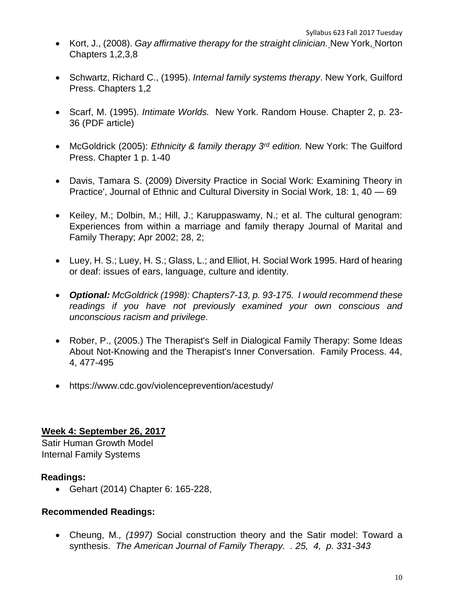- Kort, J., (2008). *Gay affirmative therapy for the straight clinician.* New York, Norton Chapters 1,2,3,8
- Schwartz, Richard C., (1995). *Internal family systems therapy*. New York, Guilford Press. Chapters 1,2
- Scarf, M. (1995). *Intimate Worlds.* New York. Random House. Chapter 2, p. 23- 36 (PDF article)
- McGoldrick (2005): *Ethnicity & family therapy 3rd edition.* New York: The Guilford Press. Chapter 1 p. 1-40
- Davis, Tamara S. (2009) Diversity Practice in Social Work: Examining Theory in Practice', Journal of Ethnic and Cultural Diversity in Social Work, 18: 1, 40 — 69
- Keiley, M.; Dolbin, M.; Hill, J.; Karuppaswamy, N.; et al. The cultural genogram: Experiences from within a marriage and family therapy Journal of Marital and Family Therapy; Apr 2002; 28, 2;
- Luey, H. S.; Luey, H. S.; Glass, L.; and Elliot, H. Social Work 1995. Hard of hearing or deaf: issues of ears, language, culture and identity.
- *Optional: McGoldrick (1998): Chapters7-13, p. 93-175. I would recommend these readings if you have not previously examined your own conscious and unconscious racism and privilege.*
- Rober, P., (2005.) The Therapist's Self in Dialogical Family Therapy: Some Ideas About Not-Knowing and the Therapist's Inner Conversation. Family Process. 44, 4, 477-495
- https://www.cdc.gov/violenceprevention/acestudy/

## **Week 4: September 26, 2017**

Satir Human Growth Model Internal Family Systems

## **Readings:**

• Gehart (2014) Chapter 6: 165-228,

## **Recommended Readings:**

• Cheung, M*., (1997)* Social construction theory and the Satir model: Toward a synthesis. *The American Journal of Family Therapy. . 25, 4, p. 331-343*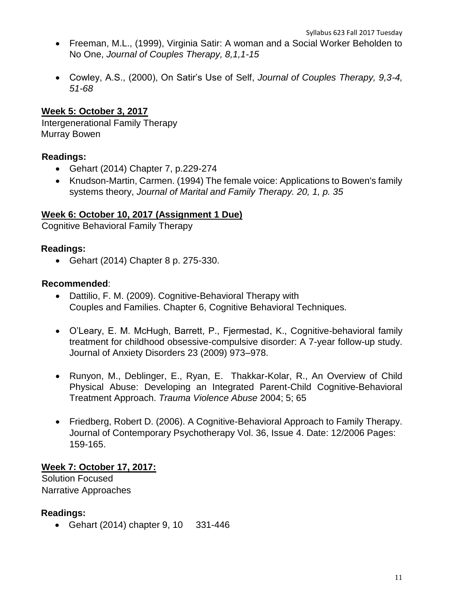- Freeman, M.L., (1999), Virginia Satir: A woman and a Social Worker Beholden to No One, *Journal of Couples Therapy, 8,1,1-15*
- Cowley, A.S., (2000), On Satir's Use of Self, *Journal of Couples Therapy, 9,3-4, 51-68*

## **Week 5: October 3, 2017**

Intergenerational Family Therapy Murray Bowen

## **Readings:**

- Gehart (2014) Chapter 7, p.229-274
- Knudson-Martin, Carmen. (1994) The female voice: Applications to Bowen's family systems theory, *Journal of Marital and Family Therapy. 20, 1, p. 35*

#### **Week 6: October 10, 2017 (Assignment 1 Due)**

Cognitive Behavioral Family Therapy

#### **Readings:**

• Gehart (2014) Chapter 8 p. 275-330.

#### **Recommended**:

- Dattilio, F. M. (2009). Cognitive-Behavioral Therapy with Couples and Families. Chapter 6, Cognitive Behavioral Techniques.
- O'Leary, E. M. McHugh, Barrett, P., Fjermestad, K., Cognitive-behavioral family treatment for childhood obsessive-compulsive disorder: A 7-year follow-up study. Journal of Anxiety Disorders 23 (2009) 973–978.
- Runyon, M., Deblinger, E., Ryan, E. Thakkar-Kolar, R., An Overview of Child Physical Abuse: Developing an Integrated Parent-Child Cognitive-Behavioral Treatment Approach. *Trauma Violence Abuse* 2004; 5; 65
- Friedberg, Robert D. (2006). A Cognitive-Behavioral Approach to Family Therapy. Journal of Contemporary Psychotherapy Vol. 36, Issue 4. Date: 12/2006 Pages: 159-165.

#### **Week 7: October 17, 2017:**

Solution Focused Narrative Approaches

## **Readings:**

• Gehart (2014) chapter 9, 10 331-446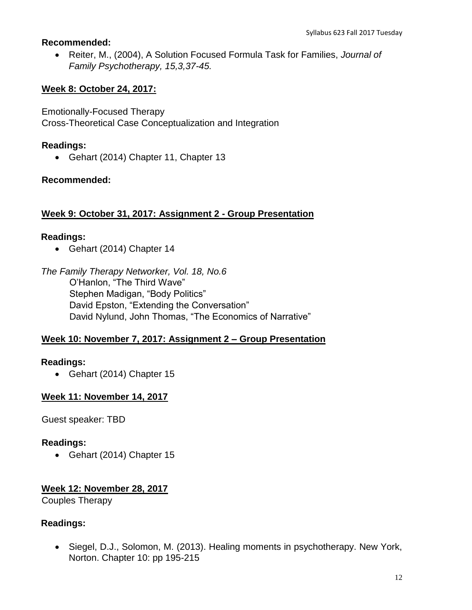#### **Recommended:**

• Reiter, M., (2004), A Solution Focused Formula Task for Families, *Journal of Family Psychotherapy, 15,3,37-45.* 

## **Week 8: October 24, 2017:**

Emotionally-Focused Therapy Cross-Theoretical Case Conceptualization and Integration

#### **Readings:**

• Gehart (2014) Chapter 11, Chapter 13

#### **Recommended:**

#### **Week 9: October 31, 2017: Assignment 2 - Group Presentation**

#### **Readings:**

• Gehart (2014) Chapter 14

*The Family Therapy Networker, Vol. 18, No.6*  O'Hanlon, "The Third Wave" Stephen Madigan, "Body Politics" David Epston, "Extending the Conversation" David Nylund, John Thomas, "The Economics of Narrative"

#### **Week 10: November 7, 2017: Assignment 2 – Group Presentation**

## **Readings:**

• Gehart (2014) Chapter 15

#### **Week 11: November 14, 2017**

Guest speaker: TBD

#### **Readings:**

• Gehart (2014) Chapter 15

#### **Week 12: November 28, 2017**

Couples Therapy

#### **Readings:**

• Siegel, D.J., Solomon, M. (2013). Healing moments in psychotherapy. New York, Norton. Chapter 10: pp 195-215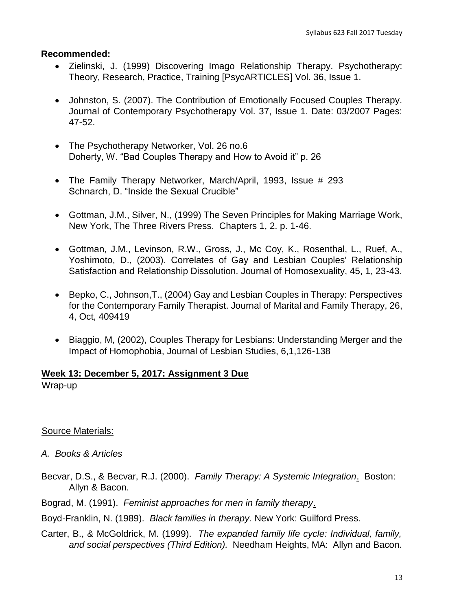#### **Recommended:**

- Zielinski, J. (1999) Discovering Imago Relationship Therapy. Psychotherapy: Theory, Research, Practice, Training [PsycARTICLES] Vol. 36, Issue 1.
- Johnston, S. (2007). The Contribution of Emotionally Focused Couples Therapy. Journal of Contemporary Psychotherapy Vol. 37, Issue 1. Date: 03/2007 Pages: 47-52.
- The Psychotherapy Networker, Vol. 26 no.6 Doherty, W. "Bad Couples Therapy and How to Avoid it" p. 26
- The Family Therapy Networker, March/April, 1993, Issue # 293 Schnarch, D. "Inside the Sexual Crucible"
- Gottman, J.M., Silver, N., (1999) The Seven Principles for Making Marriage Work, New York, The Three Rivers Press. Chapters 1, 2. p. 1-46.
- Gottman, J.M., Levinson, R.W., Gross, J., Mc Coy, K., Rosenthal, L., Ruef, A., Yoshimoto, D., (2003). Correlates of Gay and Lesbian Couples' Relationship Satisfaction and Relationship Dissolution. Journal of Homosexuality, 45, 1, 23-43.
- Bepko, C., Johnson,T., (2004) Gay and Lesbian Couples in Therapy: Perspectives for the Contemporary Family Therapist. Journal of Marital and Family Therapy, 26, 4, Oct, 409419
- Biaggio, M, (2002), Couples Therapy for Lesbians: Understanding Merger and the Impact of Homophobia, Journal of Lesbian Studies, 6,1,126-138

#### **Week 13: December 5, 2017: Assignment 3 Due**

Wrap-up

#### Source Materials:

- *A. Books & Articles*
- Becvar, D.S., & Becvar, R.J. (2000). *Family Therapy: A Systemic Integration*. Boston: Allyn & Bacon.

Bograd, M. (1991). *Feminist approaches for men in family therapy*.

Boyd-Franklin, N. (1989). *Black families in therapy.* New York: Guilford Press.

Carter, B., & McGoldrick, M. (1999). *The expanded family life cycle: Individual, family, and social perspectives (Third Edition).* Needham Heights, MA: Allyn and Bacon.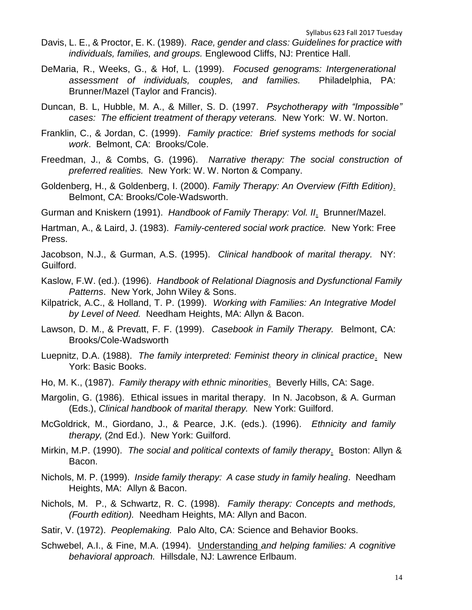- Davis, L. E., & Proctor, E. K. (1989). *Race, gender and class: Guidelines for practice with individuals, families, and groups.* Englewood Cliffs, NJ: Prentice Hall.
- DeMaria, R., Weeks, G., & Hof, L. (1999). *Focused genograms: Intergenerational assessment of individuals, couples, and families.* Philadelphia, PA: Brunner/Mazel (Taylor and Francis).
- Duncan, B. L, Hubble, M. A., & Miller, S. D. (1997. *Psychotherapy with "Impossible" cases: The efficient treatment of therapy veterans.* New York: W. W. Norton.
- Franklin, C., & Jordan, C. (1999). *Family practice: Brief systems methods for social work*. Belmont, CA: Brooks/Cole.
- Freedman, J., & Combs, G. (1996). *Narrative therapy: The social construction of preferred realities.* New York: W. W. Norton & Company.
- Goldenberg, H., & Goldenberg, I. (2000). *Family Therapy: An Overview (Fifth Edition)*. Belmont, CA: Brooks/Cole-Wadsworth.

Gurman and Kniskern (1991). *Handbook of Family Therapy: Vol. II*. Brunner/Mazel.

Hartman, A., & Laird, J. (1983). *Family-centered social work practice.* New York: Free Press.

Jacobson, N.J., & Gurman, A.S. (1995). *Clinical handbook of marital therapy.* NY: Guilford.

- Kaslow, F.W. (ed.). (1996). *Handbook of Relational Diagnosis and Dysfunctional Family Patterns*. New York, John Wiley & Sons.
- Kilpatrick, A.C., & Holland, T. P. (1999). *Working with Families: An Integrative Model by Level of Need.* Needham Heights, MA: Allyn & Bacon.
- Lawson, D. M., & Prevatt, F. F. (1999). *Casebook in Family Therapy.* Belmont, CA: Brooks/Cole-Wadsworth
- Luepnitz, D.A. (1988). *The family interpreted: Feminist theory in clinical practice*. New York: Basic Books.
- Ho, M. K., (1987). *Family therapy with ethnic minorities*. Beverly Hills, CA: Sage.
- Margolin, G. (1986). Ethical issues in marital therapy. In N. Jacobson, & A. Gurman (Eds.), *Clinical handbook of marital therapy.* New York: Guilford.
- McGoldrick, M., Giordano, J., & Pearce, J.K. (eds.). (1996). *Ethnicity and family therapy,* (2nd Ed.). New York: Guilford.
- Mirkin, M.P. (1990). *The social and political contexts of family therapy*. Boston: Allyn & Bacon.
- Nichols, M. P. (1999). *Inside family therapy: A case study in family healing*. Needham Heights, MA: Allyn & Bacon.
- Nichols, M. P., & Schwartz, R. C. (1998). *Family therapy: Concepts and methods, (Fourth edition).* Needham Heights, MA: Allyn and Bacon.

Satir, V. (1972). *Peoplemaking.* Palo Alto, CA: Science and Behavior Books.

Schwebel, A.I., & Fine, M.A. (1994). Understanding *and helping families: A cognitive behavioral approach.* Hillsdale, NJ: Lawrence Erlbaum.